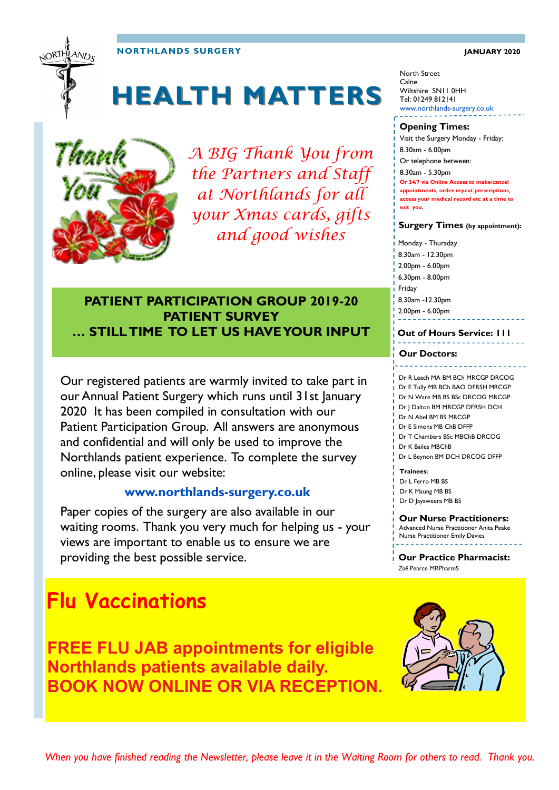#### **NORTHLANDS SURGERY JANUARY 2020**

# **HEALTH MATTERS**



NORTHLANDS

*A BIG Thank You from the Partners and Staff at Northlands for all your Xmas cards, gifts and good wishes* 

### **PATIENT PARTICIPATION GROUP 2019-20 PATIENT SURVEY … STILL TIME TO LET US HAVE YOUR INPUT**

Our registered patients are warmly invited to take part in our Annual Patient Surgery which runs until 31st January 2020 It has been compiled in consultation with our Patient Participation Group. All answers are anonymous and confidential and will only be used to improve the Northlands patient experience. To complete the survey online, please visit our website:

#### **www.northlands-surgery.co.uk**

Paper copies of the surgery are also available in our waiting rooms. Thank you very much for helping us - your views are important to enable us to ensure we are providing the best possible service.

### **Flu Vaccinations**

**FREE FLU JAB appointments for eligible Northlands patients available daily. BOOK NOW ONLINE OR VIA RECEPTION.**

Monday - Thursday 8.30am - 12.30pm 2.00pm - 6.00pm **Surgery Times (by appointment):**

6.30pm - 8.00pm Friday 8.30am -12.30pm 2.00pm - 6.00pm

North Street Calne

Wiltshire SN11 0HH Tel: 01249 812141

**Opening Times:**

8.30am - 6.00pm Or telephone between: 8.30am - 5.30pm

**suit you.** 

www.northlands-surgery.co.uk

Visit the Surgery Monday - Friday:

**Or 24/7 via Online Access to make/cancel appointments, order repeat prescriptions, access your medical record etc at a time to** 

#### **Out of Hours Service: 111**

#### **Our Doctors:**

#### Dr R Leach MA BM BCh MRCGP DRCOG

Dr E Tully MB BCh BAO DFRSH MRCGP

- Dr N Ware MB BS BSc DRCOG MRCGP Dr J Dalton BM MRCGP DFRSH DCH
- Dr N Abel BM BS MRCGP
- Dr E Simons MB ChB DFFP
- Dr T Chambers BSc MBChB DRCOG
- Dr K Bailes MBChB
- Dr L Beynon BM DCH DRCOG DFFP

#### **Trainees:**

Dr L Ferro MB BS

- Dr K Maung MB BS
- Dr D Jayaweera MB BS

#### **Our Nurse Practitioners:**

Advanced Nurse Practitioner Anita Peake Nurse Practitioner Emily Davies

#### **Our Practice Pharmacist:**  *Zoë* Pearce MRPharmS